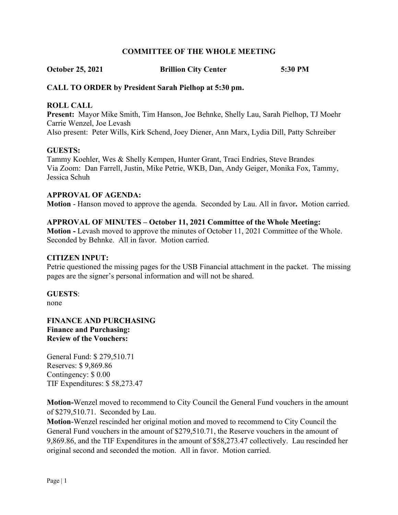#### **COMMITTEE OF THE WHOLE MEETING**

**October 25, 2021 Brillion City Center 5:30 PM**

# **CALL TO ORDER by President Sarah Pielhop at 5:30 pm.**

#### **ROLL CALL**

**Present:** Mayor Mike Smith, Tim Hanson, Joe Behnke, Shelly Lau, Sarah Pielhop, TJ Moehr Carrie Wenzel, Joe Levash Also present: Peter Wills, Kirk Schend, Joey Diener, Ann Marx, Lydia Dill, Patty Schreiber

#### **GUESTS:**

Tammy Koehler, Wes & Shelly Kempen, Hunter Grant, Traci Endries, Steve Brandes Via Zoom: Dan Farrell, Justin, Mike Petrie, WKB, Dan, Andy Geiger, Monika Fox, Tammy, Jessica Schuh

#### **APPROVAL OF AGENDA:**

**Motion** - Hanson moved to approve the agenda. Seconded by Lau. All in favor**.** Motion carried.

#### **APPROVAL OF MINUTES – October 11, 2021 Committee of the Whole Meeting:**

**Motion -** Levash moved to approve the minutes of October 11, 2021 Committee of the Whole. Seconded by Behnke. All in favor. Motion carried.

#### **CITIZEN INPUT:**

Petrie questioned the missing pages for the USB Financial attachment in the packet. The missing pages are the signer's personal information and will not be shared.

**GUESTS**:

none

**FINANCE AND PURCHASING Finance and Purchasing: Review of the Vouchers:**

General Fund: \$ 279,510.71 Reserves: \$ 9,869.86 Contingency: \$ 0.00 TIF Expenditures: \$ 58,273.47

**Motion-**Wenzel moved to recommend to City Council the General Fund vouchers in the amount of \$279,510.71. Seconded by Lau.

**Motion**-Wenzel rescinded her original motion and moved to recommend to City Council the General Fund vouchers in the amount of \$279,510.71, the Reserve vouchers in the amount of 9,869.86, and the TIF Expenditures in the amount of \$58,273.47 collectively. Lau rescinded her original second and seconded the motion. All in favor. Motion carried.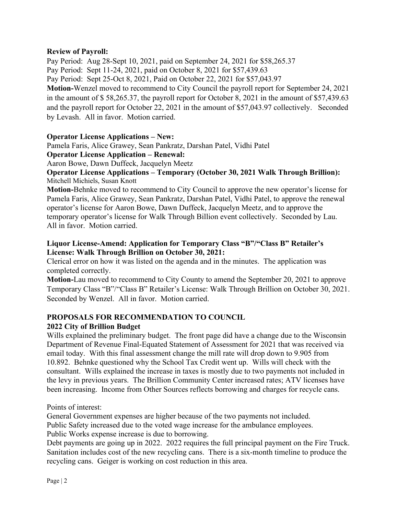### **Review of Payroll:**

Pay Period: Aug 28-Sept 10, 2021, paid on September 24, 2021 for \$58,265.37 Pay Period: Sept 11-24, 2021, paid on October 8, 2021 for \$57,439.63 Pay Period: Sept 25-Oct 8, 2021, Paid on October 22, 2021 for \$57,043.97 **Motion-**Wenzel moved to recommend to City Council the payroll report for September 24, 2021 in the amount of \$ 58,265.37, the payroll report for October 8, 2021 in the amount of \$57,439.63 and the payroll report for October 22, 2021 in the amount of \$57,043.97 collectively. Seconded by Levash. All in favor. Motion carried.

### **Operator License Applications – New:**

Pamela Faris, Alice Grawey, Sean Pankratz, Darshan Patel, Vidhi Patel

#### **Operator License Application – Renewal:**

Aaron Bowe, Dawn Duffeck, Jacquelyn Meetz

#### **Operator License Applications – Temporary (October 30, 2021 Walk Through Brillion):** Mitchell Michiels, Susan Knott

**Motion-**Behnke moved to recommend to City Council to approve the new operator's license for Pamela Faris, Alice Grawey, Sean Pankratz, Darshan Patel, Vidhi Patel, to approve the renewal operator's license for Aaron Bowe, Dawn Duffeck, Jacquelyn Meetz, and to approve the temporary operator's license for Walk Through Billion event collectively. Seconded by Lau. All in favor. Motion carried.

# **Liquor License-Amend: Application for Temporary Class "B"/"Class B" Retailer's License: Walk Through Brillion on October 30, 2021:**

Clerical error on how it was listed on the agenda and in the minutes. The application was completed correctly.

**Motion-**Lau moved to recommend to City County to amend the September 20, 2021 to approve Temporary Class "B"/"Class B" Retailer's License: Walk Through Brillion on October 30, 2021. Seconded by Wenzel. All in favor. Motion carried.

#### **PROPOSALS FOR RECOMMENDATION TO COUNCIL 2022 City of Brillion Budget**

Wills explained the preliminary budget. The front page did have a change due to the Wisconsin Department of Revenue Final-Equated Statement of Assessment for 2021 that was received via email today. With this final assessment change the mill rate will drop down to 9.905 from 10.892. Behnke questioned why the School Tax Credit went up. Wills will check with the consultant. Wills explained the increase in taxes is mostly due to two payments not included in the levy in previous years. The Brillion Community Center increased rates; ATV licenses have been increasing. Income from Other Sources reflects borrowing and charges for recycle cans.

Points of interest:

General Government expenses are higher because of the two payments not included. Public Safety increased due to the voted wage increase for the ambulance employees. Public Works expense increase is due to borrowing.

Debt payments are going up in 2022. 2022 requires the full principal payment on the Fire Truck. Sanitation includes cost of the new recycling cans. There is a six-month timeline to produce the recycling cans. Geiger is working on cost reduction in this area.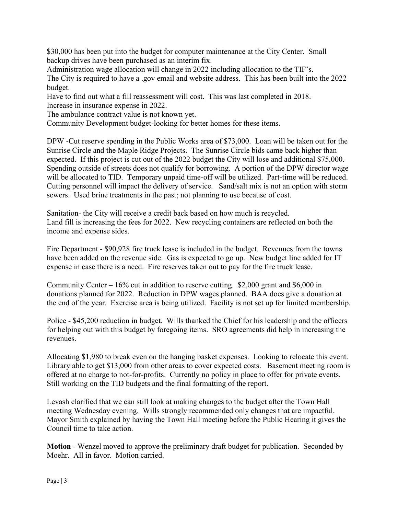\$30,000 has been put into the budget for computer maintenance at the City Center. Small backup drives have been purchased as an interim fix.

Administration wage allocation will change in 2022 including allocation to the TIF's. The City is required to have a .gov email and website address. This has been built into the 2022 budget.

Have to find out what a fill reassessment will cost. This was last completed in 2018. Increase in insurance expense in 2022.

The ambulance contract value is not known yet.

Community Development budget-looking for better homes for these items.

DPW -Cut reserve spending in the Public Works area of \$73,000. Loan will be taken out for the Sunrise Circle and the Maple Ridge Projects. The Sunrise Circle bids came back higher than expected. If this project is cut out of the 2022 budget the City will lose and additional \$75,000. Spending outside of streets does not qualify for borrowing. A portion of the DPW director wage will be allocated to TID. Temporary unpaid time-off will be utilized. Part-time will be reduced. Cutting personnel will impact the delivery of service. Sand/salt mix is not an option with storm sewers. Used brine treatments in the past; not planning to use because of cost.

Sanitation- the City will receive a credit back based on how much is recycled. Land fill is increasing the fees for 2022. New recycling containers are reflected on both the income and expense sides.

Fire Department - \$90,928 fire truck lease is included in the budget. Revenues from the towns have been added on the revenue side. Gas is expected to go up. New budget line added for IT expense in case there is a need. Fire reserves taken out to pay for the fire truck lease.

Community Center –  $16\%$  cut in addition to reserve cutting. \$2,000 grant and \$6,000 in donations planned for 2022. Reduction in DPW wages planned. BAA does give a donation at the end of the year. Exercise area is being utilized. Facility is not set up for limited membership.

Police - \$45,200 reduction in budget. Wills thanked the Chief for his leadership and the officers for helping out with this budget by foregoing items. SRO agreements did help in increasing the revenues.

Allocating \$1,980 to break even on the hanging basket expenses. Looking to relocate this event. Library able to get \$13,000 from other areas to cover expected costs. Basement meeting room is offered at no charge to not-for-profits. Currently no policy in place to offer for private events. Still working on the TID budgets and the final formatting of the report.

Levash clarified that we can still look at making changes to the budget after the Town Hall meeting Wednesday evening. Wills strongly recommended only changes that are impactful. Mayor Smith explained by having the Town Hall meeting before the Public Hearing it gives the Council time to take action.

**Motion** - Wenzel moved to approve the preliminary draft budget for publication. Seconded by Moehr. All in favor. Motion carried.